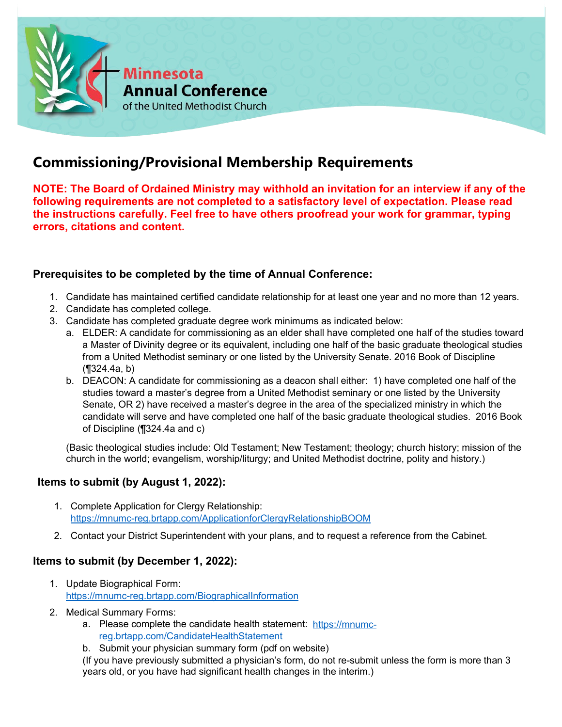

# **Commissioning/Provisional Membership Requirements**

**NOTE: The Board of Ordained Ministry may withhold an invitation for an interview if any of the following requirements are not completed to a satisfactory level of expectation. Please read the instructions carefully. Feel free to have others proofread your work for grammar, typing errors, citations and content.**

## **Prerequisites to be completed by the time of Annual Conference:**

- 1. Candidate has maintained certified candidate relationship for at least one year and no more than 12 years.
- 2. Candidate has completed college.
- 3. Candidate has completed graduate degree work minimums as indicated below:
	- a. ELDER: A candidate for commissioning as an elder shall have completed one half of the studies toward a Master of Divinity degree or its equivalent, including one half of the basic graduate theological studies from a United Methodist seminary or one listed by the University Senate. 2016 Book of Discipline (¶324.4a, b)
	- b. DEACON: A candidate for commissioning as a deacon shall either: 1) have completed one half of the studies toward a master's degree from a United Methodist seminary or one listed by the University Senate, OR 2) have received a master's degree in the area of the specialized ministry in which the candidate will serve and have completed one half of the basic graduate theological studies. 2016 Book of Discipline (¶324.4a and c)

(Basic theological studies include: Old Testament; New Testament; theology; church history; mission of the church in the world; evangelism, worship/liturgy; and United Methodist doctrine, polity and history.)

## **Items to submit (by August 1, 2022):**

- 1. Complete Application for Clergy Relationship: <https://mnumc-reg.brtapp.com/ApplicationforClergyRelationshipBOOM>
- 2. Contact your District Superintendent with your plans, and to request a reference from the Cabinet.

## **Items to submit (by December 1, 2022):**

- 1. Update Biographical Form: <https://mnumc-reg.brtapp.com/BiographicalInformation>
- 2. Medical Summary Forms:
	- a. Please complete the candidate health statement: [https://mnumc](https://mnumc-reg.brtapp.com/CandidateHealthStatement)[reg.brtapp.com/CandidateHealthStatement](https://mnumc-reg.brtapp.com/CandidateHealthStatement)
	- b. Submit your physician summary form (pdf on website)

(If you have previously submitted a physician's form, do not re-submit unless the form is more than 3 years old, or you have had significant health changes in the interim.)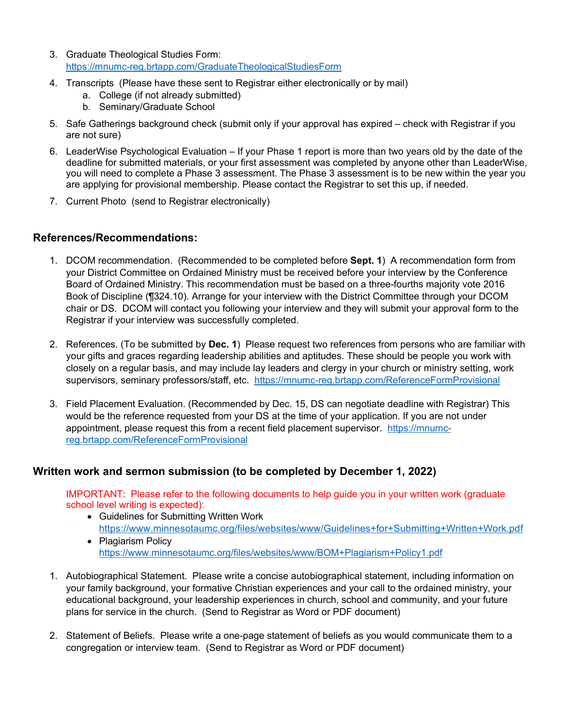- 3. Graduate Theological Studies Form: <https://mnumc-reg.brtapp.com/GraduateTheologicalStudiesForm>
- 4. Transcripts (Please have these sent to Registrar either electronically or by mail)
	- a. College (if not already submitted)
	- b. Seminary/Graduate School
- 5. Safe Gatherings background check (submit only if your approval has expired check with Registrar if you are not sure)
- 6. LeaderWise Psychological Evaluation If your Phase 1 report is more than two years old by the date of the deadline for submitted materials, or your first assessment was completed by anyone other than LeaderWise, you will need to complete a Phase 3 assessment. The Phase 3 assessment is to be new within the year you are applying for provisional membership. Please contact the Registrar to set this up, if needed.
- 7. Current Photo (send to Registrar electronically)

#### **References/Recommendations:**

- 1. DCOM recommendation. (Recommended to be completed before **Sept. 1**) A recommendation form from your District Committee on Ordained Ministry must be received before your interview by the Conference Board of Ordained Ministry. This recommendation must be based on a three-fourths majority vote 2016 Book of Discipline (¶324.10). Arrange for your interview with the District Committee through your DCOM chair or DS. DCOM will contact you following your interview and they will submit your approval form to the Registrar if your interview was successfully completed.
- 2. References. (To be submitted by **Dec. 1**) Please request two references from persons who are familiar with your gifts and graces regarding leadership abilities and aptitudes. These should be people you work with closely on a regular basis, and may include lay leaders and clergy in your church or ministry setting, work supervisors, seminary professors/staff, etc. <https://mnumc-reg.brtapp.com/ReferenceFormProvisional>
- 3. Field Placement Evaluation. (Recommended by Dec. 15, DS can negotiate deadline with Registrar) This would be the reference requested from your DS at the time of your application. If you are not under appointment, please request this from a recent field placement supervisor. [https://mnumc](https://mnumc-reg.brtapp.com/ReferenceFormProvisional)[reg.brtapp.com/ReferenceFormProvisional](https://mnumc-reg.brtapp.com/ReferenceFormProvisional)

## **Written work and sermon submission (to be completed by December 1, 2022)**

IMPORTANT: Please refer to the following documents to help guide you in your written work (graduate school level writing is expected):

- Guidelines for Submitting Written Work <https://www.minnesotaumc.org/files/websites/www/Guidelines+for+Submitting+Written+Work.pdf>
- Plagiarism Policy <https://www.minnesotaumc.org/files/websites/www/BOM+Plagiarism+Policy1.pdf>
- 1. Autobiographical Statement. Please write a concise autobiographical statement, including information on your family background, your formative Christian experiences and your call to the ordained ministry, your educational background, your leadership experiences in church, school and community, and your future plans for service in the church. (Send to Registrar as Word or PDF document)
- 2. Statement of Beliefs. Please write a one-page statement of beliefs as you would communicate them to a congregation or interview team. (Send to Registrar as Word or PDF document)